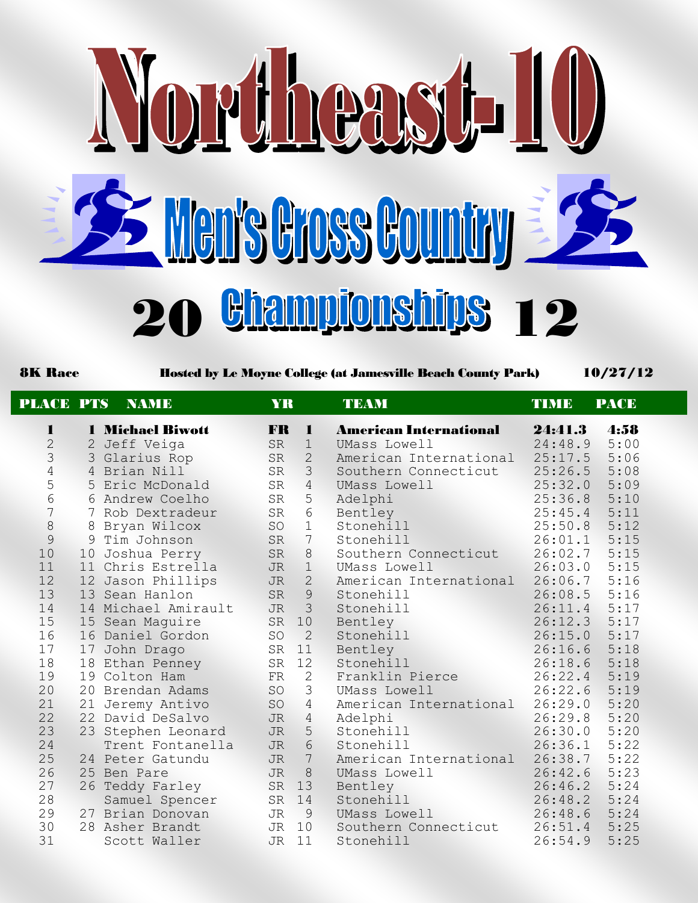

8K Race Hosted by Le Moyne College (at Jamesville Beach County Park) 10/27/12

| <b>PLACE PTS</b> |    | <b>NAME</b>             | <b>YR</b> |                 | <b>TEAM</b>                   | <b>TIMB</b> | <b>PACE</b> |
|------------------|----|-------------------------|-----------|-----------------|-------------------------------|-------------|-------------|
| 1                |    | <b>1 Michael Biwott</b> | FR        | $\mathbf{r}$    | <b>American International</b> | 24:41.3     | 4:58        |
| $\overline{2}$   |    | 2 Jeff Veiga            | <b>SR</b> | $\mathbf 1$     | UMass Lowell                  | 24:48.9     | 5:00        |
| 3                |    | 3 Glarius Rop           | <b>SR</b> | $\overline{2}$  | American International        | 25:17.5     | 5:06        |
| $\overline{4}$   |    | 4 Brian Nill            | <b>SR</b> | $\mathcal{S}$   | Southern Connecticut          | 25:26.5     | 5:08        |
| 5                |    | 5 Eric McDonald         | <b>SR</b> | $\overline{4}$  | UMass Lowell                  | 25:32.0     | 5:09        |
| $6\,$            |    | 6 Andrew Coelho         | <b>SR</b> | 5               | Adelphi                       | 25:36.8     | 5:10        |
| $\overline{7}$   |    | 7 Rob Dextradeur        | <b>SR</b> | 6               | Bentley                       | 25:45.4     | 5:11        |
| $\,8\,$          |    | 8 Bryan Wilcox          | SO        | $\mathbf{1}$    | Stonehill                     | 25:50.8     | 5:12        |
| $\mathcal{G}$    |    | 9 Tim Johnson           | <b>SR</b> | $7\phantom{.0}$ | Stonehill                     | 26:01.1     | 5:15        |
| 10               |    | 10 Joshua Perry         | <b>SR</b> | 8               | Southern Connecticut          | 26:02.7     | 5:15        |
| 11               | 11 | Chris Estrella          | <b>JR</b> | 1               | UMass Lowell                  | 26:03.0     | 5:15        |
| 12               |    | 12 Jason Phillips       | <b>JR</b> | 2               | American International        | 26:06.7     | 5:16        |
| 13               |    | 13 Sean Hanlon          | <b>SR</b> | $\mathcal{G}$   | Stonehill                     | 26:08.5     | 5:16        |
| 14               |    | 14 Michael Amirault     | <b>JR</b> | $\mathcal{S}$   | Stonehill                     | 26:11.4     | 5:17        |
| 15               |    | 15 Sean Maguire         | SR        | 10              | Bentley                       | 26:12.3     | 5:17        |
| 16               |    | 16 Daniel Gordon        | SO        | 2               | Stonehill                     | 26:15.0     | 5:17        |
| 17               |    | 17 John Drago           | SR        | 11              | Bentley                       | 26:16.6     | 5:18        |
| 18               |    | 18 Ethan Penney         | SR        | 12              | Stonehill                     | 26:18.6     | 5:18        |
| 19               |    | 19 Colton Ham           | FR        | $\mathbf{2}$    | Franklin Pierce               | 26:22.4     | 5:19        |
| 20               |    | 20 Brendan Adams        | SO        | 3               | UMass Lowell                  | 26:22.6     | 5:19        |
| 21               |    | 21 Jeremy Antivo        | SO        | $\overline{4}$  | American International        | 26:29.0     | 5:20        |
| 22               |    | 22 David DeSalvo        | <b>JR</b> | $\overline{4}$  | Adelphi                       | 26:29.8     | 5:20        |
| 23               |    | 23 Stephen Leonard      | <b>JR</b> | 5 <sup>5</sup>  | Stonehill                     | 26:30.0     | 5:20        |
| 24               |    | Trent Fontanella        | <b>JR</b> | $6\phantom{.}6$ | Stonehill                     | 26:36.1     | 5:22        |
| 25               |    | 24 Peter Gatundu        | <b>JR</b> | $\sqrt{ }$      | American International        | 26:38.7     | 5:22        |
| 26               |    | 25 Ben Pare             | <b>JR</b> | 8               | UMass Lowell                  | 26:42.6     | 5:23        |
| 27               |    | 26 Teddy Farley         | <b>SR</b> | 13              | Bentley                       | 26:46.2     | 5:24        |
| 28               |    | Samuel Spencer          | SR        | 14              | Stonehill                     | 26:48.2     | 5:24        |
| 29               |    | 27 Brian Donovan        | JR        | 9               | UMass Lowell                  | 26:48.6     | 5:24        |
| 30               |    | 28 Asher Brandt         | JR        | 10              | Southern Connecticut          | 26:51.4     | 5:25        |
| 31               |    | Scott Waller            | <b>JR</b> | 11              | Stonehill                     | 26:54.9     | 5:25        |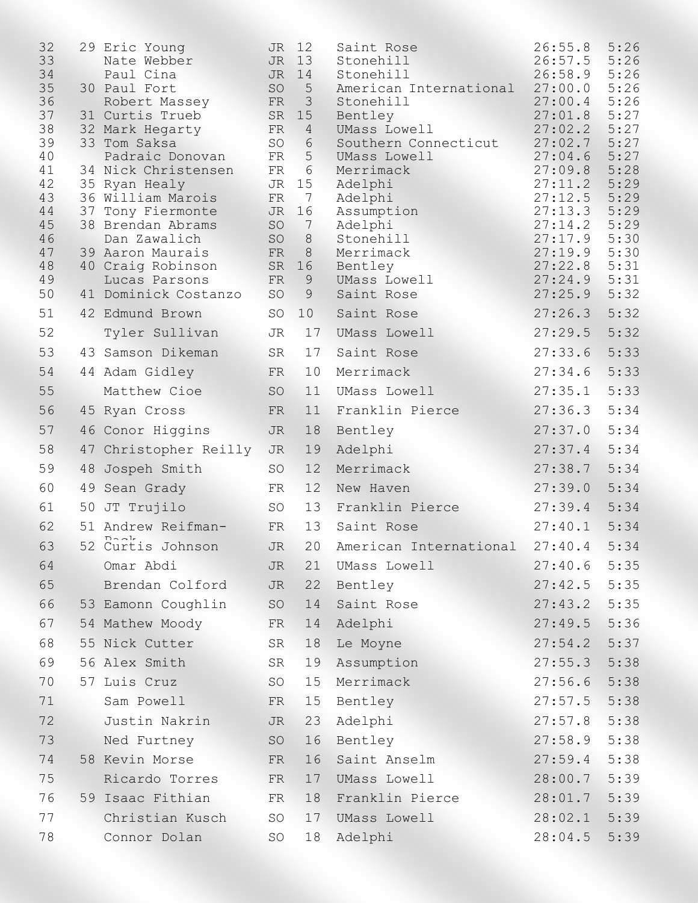| 32<br>33<br>34<br>35<br>36<br>37<br>38<br>39<br>40<br>41<br>42<br>43<br>44<br>45<br>46<br>47<br>48<br>49 | 37 | 29 Eric Young<br>Nate Webber<br>Paul Cina<br>30 Paul Fort<br>Robert Massey<br>31 Curtis Trueb<br>32 Mark Hegarty<br>33 Tom Saksa<br>Padraic Donovan<br>34 Nick Christensen<br>35 Ryan Healy<br>36 William Marois<br>Tony Fiermonte<br>38 Brendan Abrams<br>Dan Zawalich<br>39 Aaron Maurais<br>40 Craig Robinson<br>Lucas Parsons | JR<br>JR<br>JR<br>SO<br>FR<br>SR<br>FR<br><b>SO</b><br>FR<br>FR<br>JR<br>FR<br>JR<br>SO<br><b>SO</b><br>FR<br>SR<br>FR | 12<br>13<br>14<br>5<br>3<br>15<br>4<br>$\sqrt{6}$<br>5<br>6<br>15<br>7<br>16<br>7<br>$\,8\,$<br>$8\,$<br>16<br>9 | Saint Rose<br>Stonehill<br>Stonehill<br>American International<br>Stonehill<br>Bentley<br>UMass Lowell<br>Southern Connecticut<br>UMass Lowell<br>Merrimack<br>Adelphi<br>Adelphi<br>Assumption<br>Adelphi<br>Stonehill<br>Merrimack<br>Bentley<br>UMass Lowell | 26:55.8<br>26:57.5<br>26:58.9<br>27:00.0<br>27:00.4<br>27:01.8<br>27:02.2<br>27:02.7<br>27:04.6<br>27:09.8<br>27:11.2<br>27:12.5<br>27:13.3<br>27:14.2<br>27:17.9<br>27:19.9<br>27:22.8<br>27:24.9 | 5:26<br>5:26<br>5:26<br>5:26<br>5:26<br>5:27<br>5:27<br>5:27<br>5:27<br>5:28<br>5:29<br>5:29<br>5:29<br>5:29<br>5:30<br>5:30<br>5:31<br>5:31 |
|----------------------------------------------------------------------------------------------------------|----|-----------------------------------------------------------------------------------------------------------------------------------------------------------------------------------------------------------------------------------------------------------------------------------------------------------------------------------|------------------------------------------------------------------------------------------------------------------------|------------------------------------------------------------------------------------------------------------------|-----------------------------------------------------------------------------------------------------------------------------------------------------------------------------------------------------------------------------------------------------------------|----------------------------------------------------------------------------------------------------------------------------------------------------------------------------------------------------|----------------------------------------------------------------------------------------------------------------------------------------------|
| 50<br>51                                                                                                 |    | 41 Dominick Costanzo<br>42 Edmund Brown                                                                                                                                                                                                                                                                                           | SO<br><b>SO</b>                                                                                                        | 9                                                                                                                | Saint Rose                                                                                                                                                                                                                                                      | 27:25.9<br>27:26.3                                                                                                                                                                                 | 5:32<br>5:32                                                                                                                                 |
| 52                                                                                                       |    |                                                                                                                                                                                                                                                                                                                                   | JR                                                                                                                     | 10<br>17                                                                                                         | Saint Rose<br>UMass Lowell                                                                                                                                                                                                                                      | 27:29.5                                                                                                                                                                                            | 5:32                                                                                                                                         |
| 53                                                                                                       |    | Tyler Sullivan<br>43 Samson Dikeman                                                                                                                                                                                                                                                                                               | SR                                                                                                                     | 17                                                                                                               | Saint Rose                                                                                                                                                                                                                                                      | 27:33.6                                                                                                                                                                                            | 5:33                                                                                                                                         |
| 54                                                                                                       |    | 44 Adam Gidley                                                                                                                                                                                                                                                                                                                    | FR                                                                                                                     | 10                                                                                                               | Merrimack                                                                                                                                                                                                                                                       | 27:34.6                                                                                                                                                                                            | 5:33                                                                                                                                         |
| 55                                                                                                       |    | Matthew Cioe                                                                                                                                                                                                                                                                                                                      | <b>SO</b>                                                                                                              | 11                                                                                                               | UMass Lowell                                                                                                                                                                                                                                                    | 27:35.1                                                                                                                                                                                            | 5:33                                                                                                                                         |
| 56                                                                                                       |    | 45 Ryan Cross                                                                                                                                                                                                                                                                                                                     | FR                                                                                                                     | 11                                                                                                               | Franklin Pierce                                                                                                                                                                                                                                                 | 27:36.3                                                                                                                                                                                            | 5:34                                                                                                                                         |
| 57                                                                                                       |    | 46 Conor Higgins                                                                                                                                                                                                                                                                                                                  | <b>JR</b>                                                                                                              | 18                                                                                                               | Bentley                                                                                                                                                                                                                                                         | 27:37.0                                                                                                                                                                                            | 5:34                                                                                                                                         |
| 58                                                                                                       |    | 47 Christopher Reilly                                                                                                                                                                                                                                                                                                             | <b>JR</b>                                                                                                              | 19                                                                                                               | Adelphi                                                                                                                                                                                                                                                         | 27:37.4                                                                                                                                                                                            | 5:34                                                                                                                                         |
| 59                                                                                                       | 48 | Jospeh Smith                                                                                                                                                                                                                                                                                                                      | <b>SO</b>                                                                                                              | 12                                                                                                               | Merrimack                                                                                                                                                                                                                                                       | 27:38.7                                                                                                                                                                                            | 5:34                                                                                                                                         |
| 60                                                                                                       |    | 49 Sean Grady                                                                                                                                                                                                                                                                                                                     | FR                                                                                                                     | 12                                                                                                               | New Haven                                                                                                                                                                                                                                                       | 27:39.0                                                                                                                                                                                            | 5:34                                                                                                                                         |
| 61                                                                                                       | 50 | JT Trujilo                                                                                                                                                                                                                                                                                                                        | <b>SO</b>                                                                                                              | 13                                                                                                               | Franklin Pierce                                                                                                                                                                                                                                                 | 27:39.4                                                                                                                                                                                            | 5:34                                                                                                                                         |
| 62                                                                                                       |    | 51 Andrew Reifman-                                                                                                                                                                                                                                                                                                                | FR                                                                                                                     | 13                                                                                                               | Saint Rose                                                                                                                                                                                                                                                      | 27:40.1                                                                                                                                                                                            | 5:34                                                                                                                                         |
| 63                                                                                                       | 52 | Curtis Johnson                                                                                                                                                                                                                                                                                                                    | <b>JR</b>                                                                                                              | 20                                                                                                               | American International                                                                                                                                                                                                                                          | 27:40.4                                                                                                                                                                                            | 5:34                                                                                                                                         |
| 64                                                                                                       |    | Omar Abdi                                                                                                                                                                                                                                                                                                                         | JR                                                                                                                     | 21                                                                                                               | UMass Lowell                                                                                                                                                                                                                                                    | 27:40.6                                                                                                                                                                                            | 5:35                                                                                                                                         |
| 65                                                                                                       |    | Brendan Colford                                                                                                                                                                                                                                                                                                                   | JR                                                                                                                     | 22                                                                                                               | Bentley                                                                                                                                                                                                                                                         | 27:42.5                                                                                                                                                                                            | 5:35                                                                                                                                         |
| 66                                                                                                       |    | 53 Eamonn Coughlin                                                                                                                                                                                                                                                                                                                | SO                                                                                                                     | 14                                                                                                               | Saint Rose                                                                                                                                                                                                                                                      | 27:43.2                                                                                                                                                                                            | 5:35                                                                                                                                         |
| 67                                                                                                       |    | 54 Mathew Moody                                                                                                                                                                                                                                                                                                                   | FR                                                                                                                     | 14                                                                                                               | Adelphi                                                                                                                                                                                                                                                         | 27:49.5                                                                                                                                                                                            | 5:36                                                                                                                                         |
| 68                                                                                                       |    | 55 Nick Cutter                                                                                                                                                                                                                                                                                                                    | SR                                                                                                                     | 18                                                                                                               | Le Moyne                                                                                                                                                                                                                                                        | 27:54.2                                                                                                                                                                                            | 5:37                                                                                                                                         |
| 69                                                                                                       |    | 56 Alex Smith                                                                                                                                                                                                                                                                                                                     | SR                                                                                                                     | 19                                                                                                               | Assumption                                                                                                                                                                                                                                                      | 27:55.3                                                                                                                                                                                            | 5:38                                                                                                                                         |
| 70                                                                                                       |    | 57 Luis Cruz                                                                                                                                                                                                                                                                                                                      | SO                                                                                                                     | 15                                                                                                               | Merrimack                                                                                                                                                                                                                                                       | 27:56.6                                                                                                                                                                                            | 5:38                                                                                                                                         |
| 71                                                                                                       |    | Sam Powell                                                                                                                                                                                                                                                                                                                        | FR                                                                                                                     | 15                                                                                                               | Bentley                                                                                                                                                                                                                                                         | 27:57.5                                                                                                                                                                                            | 5:38                                                                                                                                         |
| 72                                                                                                       |    | Justin Nakrin                                                                                                                                                                                                                                                                                                                     | JR                                                                                                                     | 23                                                                                                               | Adelphi                                                                                                                                                                                                                                                         | 27:57.8                                                                                                                                                                                            | 5:38                                                                                                                                         |
| 73                                                                                                       |    | Ned Furtney                                                                                                                                                                                                                                                                                                                       | SO                                                                                                                     | 16                                                                                                               | Bentley                                                                                                                                                                                                                                                         | 27:58.9                                                                                                                                                                                            | 5:38                                                                                                                                         |
| 74                                                                                                       |    | 58 Kevin Morse                                                                                                                                                                                                                                                                                                                    | FR                                                                                                                     | 16                                                                                                               | Saint Anselm                                                                                                                                                                                                                                                    | 27:59.4                                                                                                                                                                                            | 5:38                                                                                                                                         |
| 75                                                                                                       |    | Ricardo Torres                                                                                                                                                                                                                                                                                                                    | FR                                                                                                                     | 17                                                                                                               | UMass Lowell                                                                                                                                                                                                                                                    | 28:00.7                                                                                                                                                                                            | 5:39                                                                                                                                         |
| 76                                                                                                       |    | 59 Isaac Fithian                                                                                                                                                                                                                                                                                                                  | FR                                                                                                                     | 18                                                                                                               | Franklin Pierce                                                                                                                                                                                                                                                 | 28:01.7                                                                                                                                                                                            | 5:39                                                                                                                                         |
| 77                                                                                                       |    | Christian Kusch                                                                                                                                                                                                                                                                                                                   | SO                                                                                                                     | 17                                                                                                               | UMass Lowell                                                                                                                                                                                                                                                    | 28:02.1                                                                                                                                                                                            | 5:39                                                                                                                                         |
| 78                                                                                                       |    | Connor Dolan                                                                                                                                                                                                                                                                                                                      | <b>SO</b>                                                                                                              | 18                                                                                                               | Adelphi                                                                                                                                                                                                                                                         | 28:04.5                                                                                                                                                                                            | 5:39                                                                                                                                         |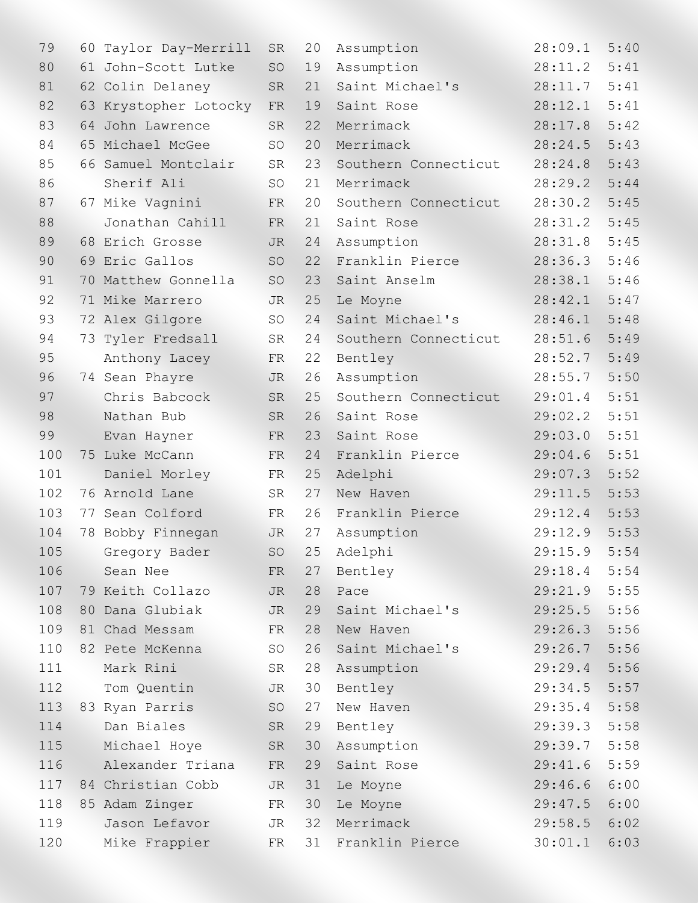| 79  | 60 | Taylor Day-Merrill  | <b>SR</b> | 20 | Assumption           | 28:09.1 | 5:40 |
|-----|----|---------------------|-----------|----|----------------------|---------|------|
| 80  | 61 | John-Scott Lutke    | SO        | 19 | Assumption           | 28:11.2 | 5:41 |
| 81  |    | 62 Colin Delaney    | <b>SR</b> | 21 | Saint Michael's      | 28:11.7 | 5:41 |
| 82  | 63 | Krystopher Lotocky  | FR        | 19 | Saint Rose           | 28:12.1 | 5:41 |
| 83  |    | 64 John Lawrence    | <b>SR</b> | 22 | Merrimack            | 28:17.8 | 5:42 |
| 84  |    | 65 Michael McGee    | SO        | 20 | Merrimack            | 28:24.5 | 5:43 |
| 85  |    | 66 Samuel Montclair | SR        | 23 | Southern Connecticut | 28:24.8 | 5:43 |
| 86  |    | Sherif Ali          | <b>SO</b> | 21 | Merrimack            | 28:29.2 | 5:44 |
| 87  |    | 67 Mike Vagnini     | FR        | 20 | Southern Connecticut | 28:30.2 | 5:45 |
| 88  |    | Jonathan Cahill     | <b>FR</b> | 21 | Saint Rose           | 28:31.2 | 5:45 |
| 89  |    | 68 Erich Grosse     | <b>JR</b> | 24 | Assumption           | 28:31.8 | 5:45 |
| 90  |    | 69 Eric Gallos      | <b>SO</b> | 22 | Franklin Pierce      | 28:36.3 | 5:46 |
| 91  | 70 | Matthew Gonnella    | SO        | 23 | Saint Anselm         | 28:38.1 | 5:46 |
| 92  |    | 71 Mike Marrero     | JR        | 25 | Le Moyne             | 28:42.1 | 5:47 |
| 93  |    | 72 Alex Gilgore     | SO        | 24 | Saint Michael's      | 28:46.1 | 5:48 |
| 94  | 73 | Tyler Fredsall      | SR        | 24 | Southern Connecticut | 28:51.6 | 5:49 |
| 95  |    | Anthony Lacey       | FR        | 22 | Bentley              | 28:52.7 | 5:49 |
| 96  |    | 74 Sean Phayre      | <b>JR</b> | 26 | Assumption           | 28:55.7 | 5:50 |
| 97  |    | Chris Babcock       | <b>SR</b> | 25 | Southern Connecticut | 29:01.4 | 5:51 |
| 98  |    | Nathan Bub          | <b>SR</b> | 26 | Saint Rose           | 29:02.2 | 5:51 |
| 99  |    | Evan Hayner         | FR        | 23 | Saint Rose           | 29:03.0 | 5:51 |
| 100 |    | 75 Luke McCann      | FR        | 24 | Franklin Pierce      | 29:04.6 | 5:51 |
| 101 |    | Daniel Morley       | FR        | 25 | Adelphi              | 29:07.3 | 5:52 |
| 102 |    | 76 Arnold Lane      | SR        | 27 | New Haven            | 29:11.5 | 5:53 |
| 103 |    | 77 Sean Colford     | FR        | 26 | Franklin Pierce      | 29:12.4 | 5:53 |
| 104 |    | 78 Bobby Finnegan   | <b>JR</b> | 27 | Assumption           | 29:12.9 | 5:53 |
| 105 |    | Gregory Bader       | SO        | 25 | Adelphi              | 29:15.9 | 5:54 |
| 106 |    | Sean Nee            | FR        | 27 | Bentley              | 29:18.4 | 5:54 |
| 107 |    | 79 Keith Collazo    | JR        | 28 | Pace                 | 29:21.9 | 5:55 |
| 108 |    | 80 Dana Glubiak     | JR        | 29 | Saint Michael's      | 29:25.5 | 5:56 |
| 109 |    | 81 Chad Messam      | FR        | 28 | New Haven            | 29:26.3 | 5:56 |
| 110 |    | 82 Pete McKenna     | SO        | 26 | Saint Michael's      | 29:26.7 | 5:56 |
| 111 |    | Mark Rini           | SR        | 28 | Assumption           | 29:29.4 | 5:56 |
| 112 |    | Tom Quentin         | <b>JR</b> | 30 | Bentley              | 29:34.5 | 5:57 |
| 113 |    | 83 Ryan Parris      | SO        | 27 | New Haven            | 29:35.4 | 5:58 |
| 114 |    | Dan Biales          | SR        | 29 | Bentley              | 29:39.3 | 5:58 |
| 115 |    | Michael Hoye        | SR        | 30 | Assumption           | 29:39.7 | 5:58 |
| 116 |    | Alexander Triana    | FR        | 29 | Saint Rose           | 29:41.6 | 5:59 |
| 117 |    | 84 Christian Cobb   | JR        | 31 | Le Moyne             | 29:46.6 | 6:00 |
| 118 |    | 85 Adam Zinger      | FR        | 30 | Le Moyne             | 29:47.5 | 6:00 |
| 119 |    | Jason Lefavor       | JR        | 32 | Merrimack            | 29:58.5 | 6:02 |
| 120 |    | Mike Frappier       | FR        | 31 | Franklin Pierce      | 30:01.1 | 6:03 |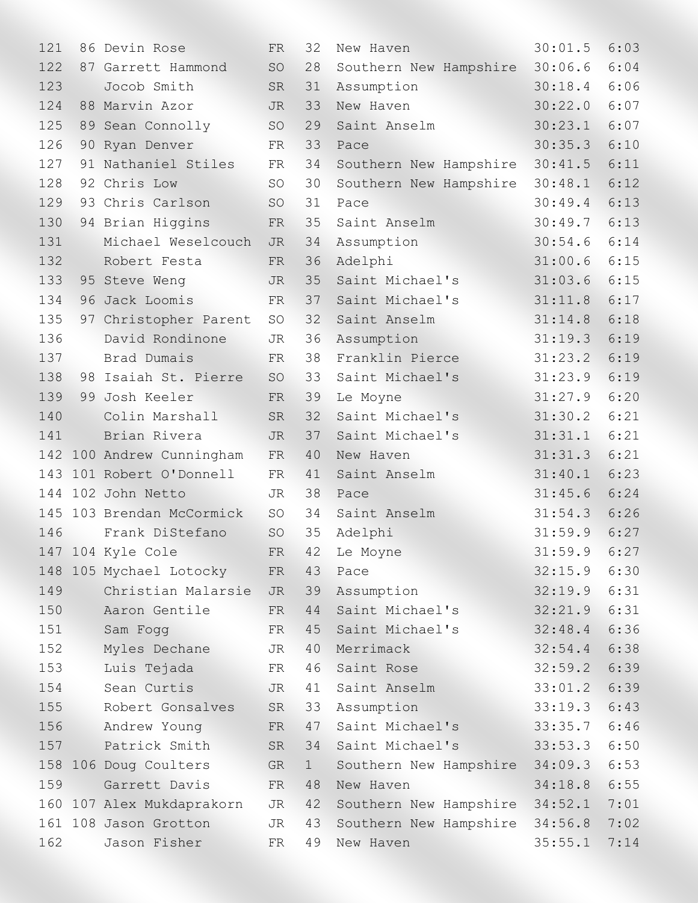| 121 |    | 86 Devin Rose         | <b>FR</b> | 32           | New Haven              | 30:01.5      | 6:03 |
|-----|----|-----------------------|-----------|--------------|------------------------|--------------|------|
| 122 |    | 87 Garrett Hammond    | SO        | 28           | Southern New Hampshire | 30:06.6      | 6:04 |
| 123 |    | Jocob Smith           | <b>SR</b> | 31           | Assumption             | 30:18.4      | 6:06 |
| 124 |    | 88 Marvin Azor        | <b>JR</b> | 33           | New Haven              | 30:22.0      | 6:07 |
| 125 |    | 89 Sean Connolly      | SO        | 29           | Saint Anselm           | 30:23.1      | 6:07 |
| 126 |    | 90 Ryan Denver        | FR        | 33           | Pace                   | 30:35.3      | 6:10 |
| 127 |    | 91 Nathaniel Stiles   | FR        | 34           | Southern New Hampshire | 30:41.5      | 6:11 |
| 128 |    | 92 Chris Low          | <b>SO</b> | 30           | Southern New Hampshire | 30:48.1      | 6:12 |
| 129 |    | 93 Chris Carlson      | SO        | 31           | Pace                   | 30:49.4      | 6:13 |
| 130 |    | 94 Brian Higgins      | FR        | 35           | Saint Anselm           | 30:49.7      | 6:13 |
| 131 |    | Michael Weselcouch    | JR        | 34           | Assumption             | 30:54.6      | 6:14 |
| 132 |    | Robert Festa          | FR        | 36           | Adelphi                | 31:00.6      | 6:15 |
| 133 |    | 95 Steve Weng         | <b>JR</b> | 35           | Saint Michael's        | 31:03.6      | 6:15 |
| 134 |    | 96 Jack Loomis        | FR        | 37           | Saint Michael's        | 31:11.8      | 6:17 |
| 135 |    | 97 Christopher Parent | SO        | 32           | Saint Anselm           | 31:14.8      | 6:18 |
| 136 |    | David Rondinone       | JR        | 36           | Assumption             | 31:19.3      | 6:19 |
| 137 |    | Brad Dumais           | FR        | 38           | Franklin Pierce        | 31:23.2      | 6:19 |
| 138 |    | 98 Isaiah St. Pierre  | SO        | 33           | Saint Michael's        | 31:23.9      | 6:19 |
| 139 | 99 | Josh Keeler           | FR        | 39           | Le Moyne               | 31:27.9      | 6:20 |
| 140 |    | Colin Marshall        | <b>SR</b> | 32           | Saint Michael's        | 31:30.2      | 6:21 |
| 141 |    | Brian Rivera          | <b>JR</b> | 37           | Saint Michael's        | 31:31.1      | 6:21 |
| 142 |    | 100 Andrew Cunningham | FR        | 40           | New Haven              | 31:31.3      | 6:21 |
| 143 |    | 101 Robert O'Donnell  | FR        | 41           | Saint Anselm           | 31:40.1      | 6:23 |
| 144 |    | 102 John Netto        | JR        | 38           | Pace                   | 31:45.6      | 6:24 |
| 145 |    | 103 Brendan McCormick | <b>SO</b> | 34           | Saint Anselm           | 31:54.3      | 6:26 |
| 146 |    | Frank DiStefano       | SO        | 35           | Adelphi                | 31:59.9      | 6:27 |
|     |    | 147 104 Kyle Cole     | FR        | 42           | Le Moyne               | 31:59.9 6:27 |      |
| 148 |    | 105 Mychael Lotocky   | FR        | 43           | Pace                   | 32:15.9      | 6:30 |
| 149 |    | Christian Malarsie    | JR        | 39           | Assumption             | 32:19.9      | 6:31 |
| 150 |    | Aaron Gentile         | FR        | 44           | Saint Michael's        | 32:21.9      | 6:31 |
| 151 |    | Sam Fogg              | FR        | 45           | Saint Michael's        | 32:48.4      | 6:36 |
| 152 |    | Myles Dechane         | JR        | 40           | Merrimack              | 32:54.4      | 6:38 |
| 153 |    | Luis Tejada           | FR        | 46           | Saint Rose             | 32:59.2      | 6:39 |
| 154 |    | Sean Curtis           | JR        | 41           | Saint Anselm           | 33:01.2      | 6:39 |
| 155 |    | Robert Gonsalves      | SR        | 33           | Assumption             | 33:19.3      | 6:43 |
| 156 |    | Andrew Young          | FR        | 47           | Saint Michael's        | 33:35.7      | 6:46 |
| 157 |    | Patrick Smith         | <b>SR</b> | 34           | Saint Michael's        | 33:53.3      | 6:50 |
|     |    | 158 106 Doug Coulters | GR        | $\mathbf{1}$ | Southern New Hampshire | 34:09.3      | 6:53 |
| 159 |    | Garrett Davis         | FR        | 48           | New Haven              | 34:18.8      | 6:55 |
| 160 |    | 107 Alex Mukdaprakorn | JR        | 42           | Southern New Hampshire | 34:52.1      | 7:01 |
| 161 |    | 108 Jason Grotton     | JR        | 43           | Southern New Hampshire | 34:56.8      | 7:02 |
| 162 |    | Jason Fisher          | FR        | 49           | New Haven              | 35:55.1      | 7:14 |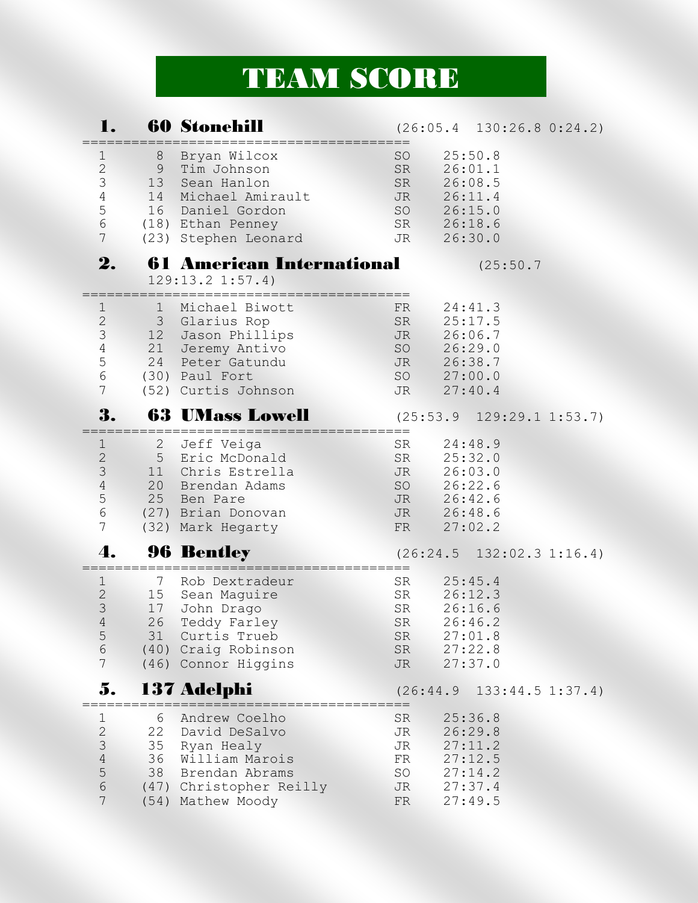## TEAM SCORE

|                                                                                                                |                                       | <b>60 Stonehill</b>                                                                                                                          |                                                             | $(26:05.4 \quad 130:26.8 \quad 0:24.2)$                                   |  |
|----------------------------------------------------------------------------------------------------------------|---------------------------------------|----------------------------------------------------------------------------------------------------------------------------------------------|-------------------------------------------------------------|---------------------------------------------------------------------------|--|
| ı<br>$\mathbf{2}$<br>3<br>$\sqrt{4}$<br>5<br>$\epsilon$<br>$7\phantom{.}$                                      | 8<br>9<br>13 <sup>7</sup><br>14<br>16 | Bryan Wilcox<br>Tim Johnson<br>Sean Hanlon<br>Michael Amirault<br>Daniel Gordon<br>(18) Ethan Penney<br>(23) Stephen Leonard                 | <b>SO</b><br>SR<br>SR<br><b>JR</b><br>SO<br>SR<br><b>JR</b> | 25:50.8<br>26:01.1<br>26:08.5<br>26:11.4<br>26:15.0<br>26:18.6<br>26:30.0 |  |
| 2.                                                                                                             |                                       | <b>61 American International</b><br>129:13.2 1:57.4                                                                                          |                                                             | (25:50.7                                                                  |  |
| T<br>$\sqrt{2}$<br>$\mathfrak{Z}$<br>$\overline{4}$<br>5<br>$\sqrt{6}$<br>$7\phantom{.}$                       | ı.<br>12<br>21                        | Michael Biwott<br>3 Glarius Rop<br>Jason Phillips<br>Jeremy Antivo<br>24 Peter Gatundu<br>(30) Paul Fort<br>(52) Curtis Johnson              | FR<br>SR<br>JR<br>SO<br><b>JR</b><br>SO<br>JR               | 24:41.3<br>25:17.5<br>26:06.7<br>26:29.0<br>26:38.7<br>27:00.0<br>27:40.4 |  |
| 3.                                                                                                             |                                       | <b>63 UMass Lowell</b>                                                                                                                       |                                                             | $(25:53.9 \quad 129:29.1 \quad 1:53.7)$                                   |  |
| 1<br>$\sqrt{2}$<br>$\mathcal{S}$<br>$\sqrt{4}$<br>$\mathsf S$<br>$\sqrt{6}$<br>7                               | $\overline{2}$                        | Jeff Veiga<br>5 Eric McDonald<br>11 Chris Estrella<br>20 Brendan Adams<br>25 Ben Pare<br>(27) Brian Donovan<br>(32) Mark Hegarty             | <b>SR</b><br>SR<br>JR<br>SO<br>JR<br>JR<br>FR               | 24:48.9<br>25:32.0<br>26:03.0<br>26:22.6<br>26:42.6<br>26:48.6<br>27:02.2 |  |
| 4.                                                                                                             |                                       | <b>96 Bentley</b>                                                                                                                            |                                                             | $(26:24.5 \quad 132:02.3 \quad 1:16.4)$                                   |  |
| T<br>$\mathbf{2}$<br>3<br>$4\overline{ }$<br>5<br>$6\overline{)}$<br>$\overline{7}$                            | 7<br>17                               | Rob Dextradeur<br>15 Sean Maguire<br>John Drago<br>26 Teddy Farley<br>31 Curtis Trueb<br>(40) Craig Robinson<br>(46) Connor Higgins          | SR<br>SR<br>SR<br>SR<br>SR<br>SR<br>JR N                    | 25:45.4<br>26:12.3<br>26:16.6<br>26:46.2<br>27:01.8<br>27:22.8<br>27:37.0 |  |
| 5.                                                                                                             | ==============                        | 137 Adelphi<br>==========================                                                                                                    |                                                             | $(26:44.9 \quad 133:44.5 \quad 1:37.4)$                                   |  |
| $\mathbf 1$<br>$\overline{c}$<br>$\mathcal{S}$<br>$\sqrt{4}$<br>$\overline{5}$<br>$\sqrt{6}$<br>$\overline{7}$ | 6                                     | Andrew Coelho<br>22 David DeSalvo<br>35 Ryan Healy<br>36 William Marois<br>38 Brendan Abrams<br>(47) Christopher Reilly<br>(54) Mathew Moody | SR<br><b>JR</b><br>JR<br>FR<br>SO<br>JR 27:37.4<br>FR       | 25:36.8<br>26:29.8<br>27:11.2<br>27:12.5<br>27:14.2<br>27:49.5            |  |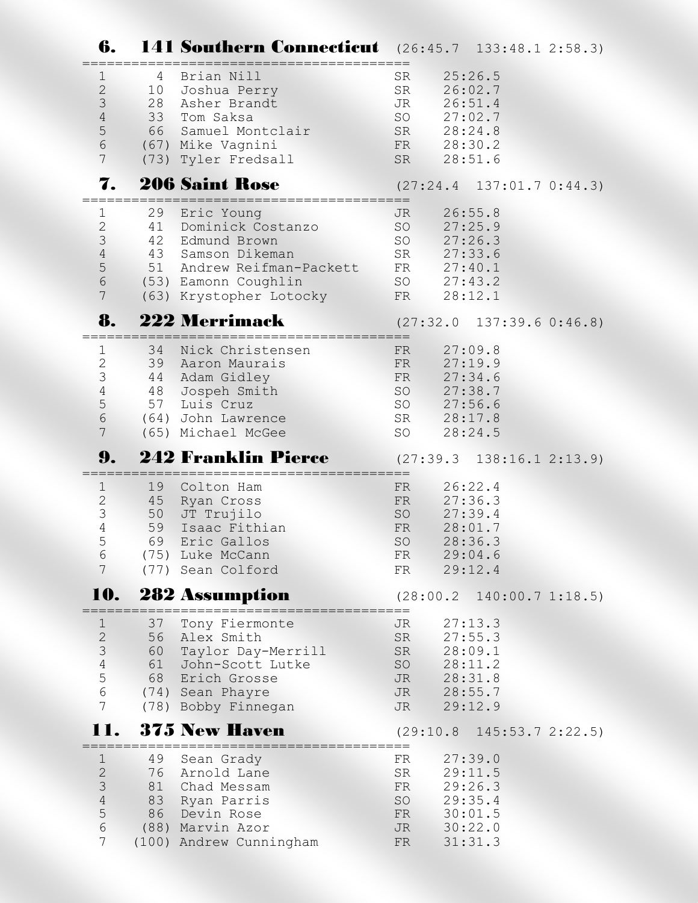| 6.                                                                                                              |                            | <b>141 Southern Connecticut</b> (26:45.7 133:48.1 2:58.3)                                                                                            |                                                               |                                                                           |                                         |
|-----------------------------------------------------------------------------------------------------------------|----------------------------|------------------------------------------------------------------------------------------------------------------------------------------------------|---------------------------------------------------------------|---------------------------------------------------------------------------|-----------------------------------------|
| $\mathbf 1$<br>$\mathbf{2}$<br>$\mathfrak{Z}$<br>$\sqrt{4}$<br>$\mathbf 5$<br>$6\overline{6}$<br>$\overline{7}$ | 4<br>10                    | Brian Nill<br>Joshua Perry<br>28 Asher Brandt<br>33 Tom Saksa<br>66 Samuel Montclair<br>(67) Mike Vagnini<br>(73) Tyler Fredsall                     | SR<br>SR<br>JR<br>SO<br>SR 28:24.8<br>FR 28:30.2<br>SR        | 25:26.5<br>26:02.7<br>26:51.4<br>27:02.7<br>28:51.6                       |                                         |
| 7.                                                                                                              |                            | <b>206 Saint Rose</b>                                                                                                                                |                                                               |                                                                           | $(27:24.4$ 137:01.7 0:44.3)             |
| $\mathbf 1$<br>$\mathbf{2}$<br>$\mathfrak{Z}$<br>$\sqrt{4}$<br>$\mathsf S$<br>$\epsilon$<br>$\overline{7}$      | 29<br>41<br>42             | Eric Young<br>Dominick Costanzo<br>Edmund Brown<br>43 Samson Dikeman<br>51 Andrew Reifman-Packett<br>(53) Eamonn Coughlin<br>(63) Krystopher Lotocky | <b>JR</b><br>SO<br>SO<br>SR<br>FR 27:40.1<br>SO 27:43.2<br>FR | 26:55.8<br>27:25.9<br>27:26.3<br>27:33.6<br>28:12.1                       |                                         |
| 8.                                                                                                              |                            | <b>222 Merrimack</b>                                                                                                                                 |                                                               |                                                                           | (27:32.0 137:39.6 0:46.8)               |
| $\mathbf 1$<br>$\mathbf{2}$<br>$\mathsf 3$<br>$\sqrt{4}$<br>5<br>$6\,$<br>$\overline{7}$                        | 34<br>39<br>44<br>48<br>57 | Nick Christensen<br>Aaron Maurais<br>Adam Gidley<br>Jospeh Smith<br>Luis Cruz<br>(64) John Lawrence<br>(65) Michael McGee                            | FR<br>FR<br>FR<br>SO<br>SO<br>SR<br>SO                        | 27:09.8<br>27:19.9<br>27:34.6<br>27:38.7<br>27:56.6<br>28:17.8<br>28:24.5 |                                         |
| 9.                                                                                                              |                            | <b>242 Franklin Pierce</b>                                                                                                                           |                                                               |                                                                           | $(27:39.3 \t138:16.1 \t2:13.9)$         |
| $1\,$<br>$\mathbf{2}$<br>$\mathfrak{Z}$<br>$\overline{4}$<br>5<br>6<br>7                                        | 19<br>45<br>50<br>59<br>69 | Colton Ham<br>Ryan Cross<br>JT Trujilo<br>Isaac Fithian<br>Eric Gallos<br>(75) Luke McCann<br>(77) Sean Colford                                      | FR<br>FR<br>SO<br>FR<br>SO<br>FR<br>FR                        | 26:22.4<br>27:36.3<br>27:39.4<br>28:01.7<br>28:36.3<br>29:04.6<br>29:12.4 |                                         |
| 10.                                                                                                             |                            | 282 Assumption                                                                                                                                       |                                                               |                                                                           | $(28:00.2 \quad 140:00.7 \quad 1:18.5)$ |
| $\mathbf 1$<br>$\mathbf{2}$<br>$\mathfrak{Z}$<br>$\overline{4}$<br>5<br>$6\,$<br>$\overline{7}$                 | 37<br>56<br>61             | Tony Fiermonte<br>Alex Smith<br>60 Taylor Day-Merrill<br>John-Scott Lutke<br>68 Erich Grosse<br>(74) Sean Phayre<br>(78) Bobby Finnegan              | JR<br>SR<br>SR<br>SO<br>JR<br><b>JR</b><br><b>JR</b>          | 27:13.3<br>27:55.3<br>28:09.1<br>28:11.2<br>28:31.8<br>28:55.7<br>29:12.9 |                                         |
| 11.                                                                                                             |                            | <b>375 New Haven</b>                                                                                                                                 |                                                               |                                                                           | $(29:10.8 \quad 145:53.7 \quad 2:22.5)$ |
| $\mathbf 1$<br>$\mathbf{2}$<br>$\mathfrak{Z}$<br>$\sqrt{4}$<br>5<br>6<br>7                                      | 49<br>76<br>86             | Sean Grady<br>Arnold Lane<br>81 Chad Messam<br>83 Ryan Parris<br>Devin Rose<br>(88) Marvin Azor<br>(100) Andrew Cunningham                           | FR<br>SR<br>FR<br>SO<br>FR<br>JR<br>FR                        | 27:39.0<br>29:11.5<br>29:26.3<br>29:35.4<br>30:01.5<br>30:22.0<br>31:31.3 |                                         |